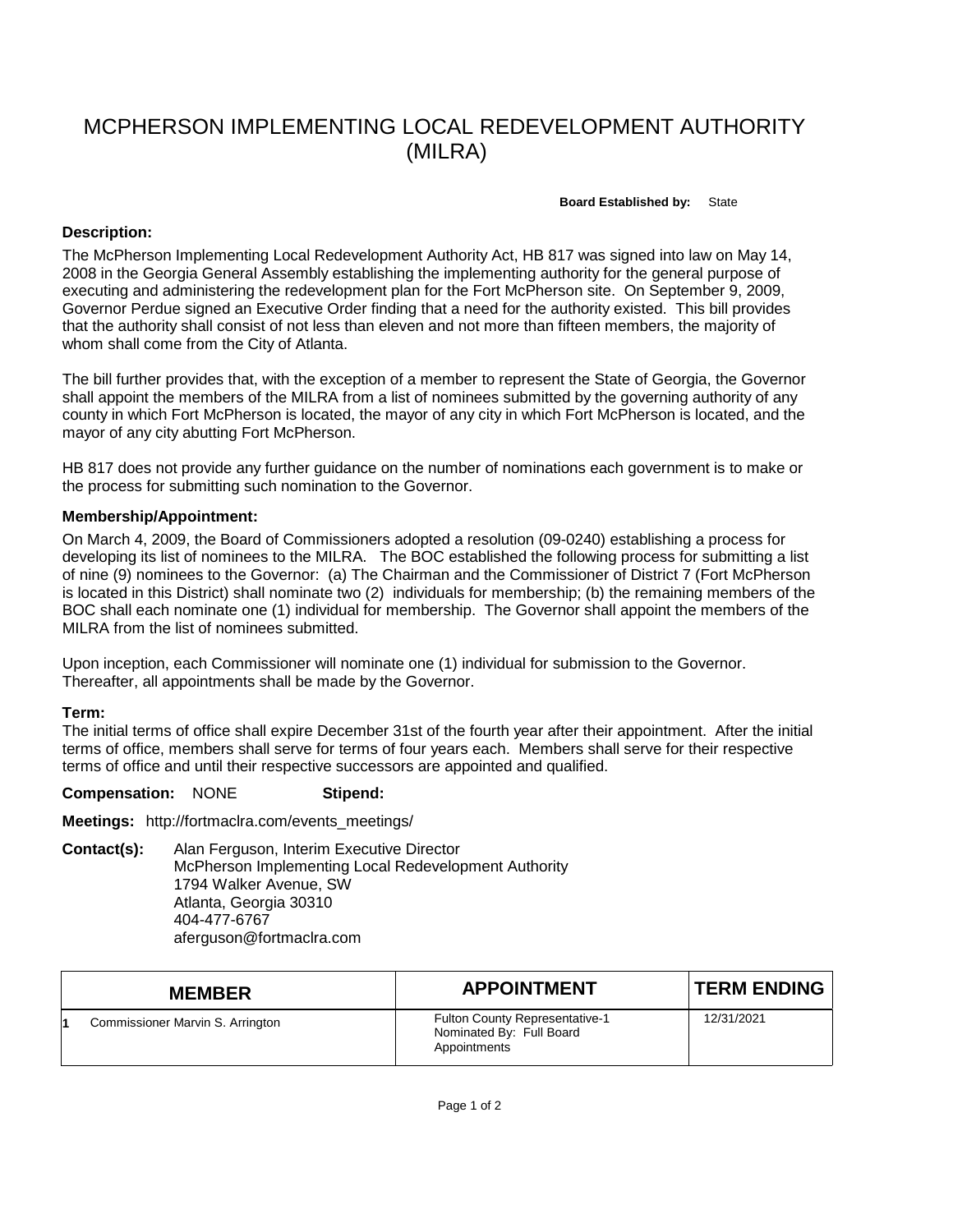# MCPHERSON IMPLEMENTING LOCAL REDEVELOPMENT AUTHORITY (MILRA)

#### **Board Established by:** State

## **Description:**

The McPherson Implementing Local Redevelopment Authority Act, HB 817 was signed into law on May 14, 2008 in the Georgia General Assembly establishing the implementing authority for the general purpose of executing and administering the redevelopment plan for the Fort McPherson site. On September 9, 2009, Governor Perdue signed an Executive Order finding that a need for the authority existed. This bill provides that the authority shall consist of not less than eleven and not more than fifteen members, the majority of whom shall come from the City of Atlanta.

The bill further provides that, with the exception of a member to represent the State of Georgia, the Governor shall appoint the members of the MILRA from a list of nominees submitted by the governing authority of any county in which Fort McPherson is located, the mayor of any city in which Fort McPherson is located, and the mayor of any city abutting Fort McPherson.

HB 817 does not provide any further guidance on the number of nominations each government is to make or the process for submitting such nomination to the Governor.

#### **Membership/Appointment:**

On March 4, 2009, the Board of Commissioners adopted a resolution (09-0240) establishing a process for developing its list of nominees to the MILRA. The BOC established the following process for submitting a list of nine (9) nominees to the Governor: (a) The Chairman and the Commissioner of District 7 (Fort McPherson is located in this District) shall nominate two (2) individuals for membership; (b) the remaining members of the BOC shall each nominate one (1) individual for membership. The Governor shall appoint the members of the MILRA from the list of nominees submitted.

Upon inception, each Commissioner will nominate one (1) individual for submission to the Governor. Thereafter, all appointments shall be made by the Governor.

### **Term:**

The initial terms of office shall expire December 31st of the fourth year after their appointment. After the initial terms of office, members shall serve for terms of four years each. Members shall serve for their respective terms of office and until their respective successors are appointed and qualified.

#### **Compensation:** NONE **Stipend:**

**Meetings:** http://fortmaclra.com/events\_meetings/

**Contact(s):** Alan Ferguson, Interim Executive Director McPherson Implementing Local Redevelopment Authority 1794 Walker Avenue, SW Atlanta, Georgia 30310 404-477-6767 aferguson@fortmaclra.com

| <b>MEMBER</b>                    | <b>APPOINTMENT</b>                                                                | <b>TERM ENDING</b> |
|----------------------------------|-----------------------------------------------------------------------------------|--------------------|
| Commissioner Marvin S. Arrington | <b>Fulton County Representative-1</b><br>Nominated By: Full Board<br>Appointments | 12/31/2021         |